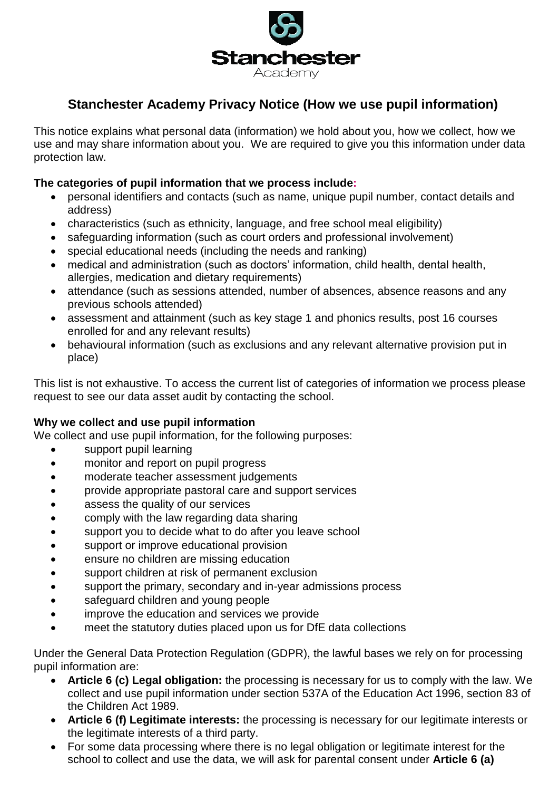

# **Stanchester Academy Privacy Notice (How we use pupil information)**

This notice explains what personal data (information) we hold about you, how we collect, how we use and may share information about you. We are required to give you this information under data protection law.

#### **The categories of pupil information that we process include:**

- personal identifiers and contacts (such as name, unique pupil number, contact details and address)
- characteristics (such as ethnicity, language, and free school meal eligibility)
- safeguarding information (such as court orders and professional involvement)
- special educational needs (including the needs and ranking)
- medical and administration (such as doctors' information, child health, dental health, allergies, medication and dietary requirements)
- attendance (such as sessions attended, number of absences, absence reasons and any previous schools attended)
- assessment and attainment (such as key stage 1 and phonics results, post 16 courses enrolled for and any relevant results)
- behavioural information (such as exclusions and any relevant alternative provision put in place)

This list is not exhaustive. To access the current list of categories of information we process please request to see our data asset audit by contacting the school.

#### **Why we collect and use pupil information**

We collect and use pupil information, for the following purposes:

- support pupil learning
- monitor and report on pupil progress
- moderate teacher assessment judgements
- provide appropriate pastoral care and support services
- assess the quality of our services
- comply with the law regarding data sharing
- support you to decide what to do after you leave school
- support or improve educational provision
- **e** ensure no children are missing education
- support children at risk of permanent exclusion
- support the primary, secondary and in-year admissions process
- safeguard children and young people
- improve the education and services we provide
- meet the statutory duties placed upon us for DfE data collections

Under the General Data Protection Regulation (GDPR), the lawful bases we rely on for processing pupil information are:

- **Article 6 (c) Legal obligation:** the processing is necessary for us to comply with the law. We collect and use pupil information under section 537A of the Education Act 1996, section 83 of the Children Act 1989.
- **Article 6 (f) Legitimate interests:** the processing is necessary for our legitimate interests or the legitimate interests of a third party.
- For some data processing where there is no legal obligation or legitimate interest for the school to collect and use the data, we will ask for parental consent under **Article 6 (a)**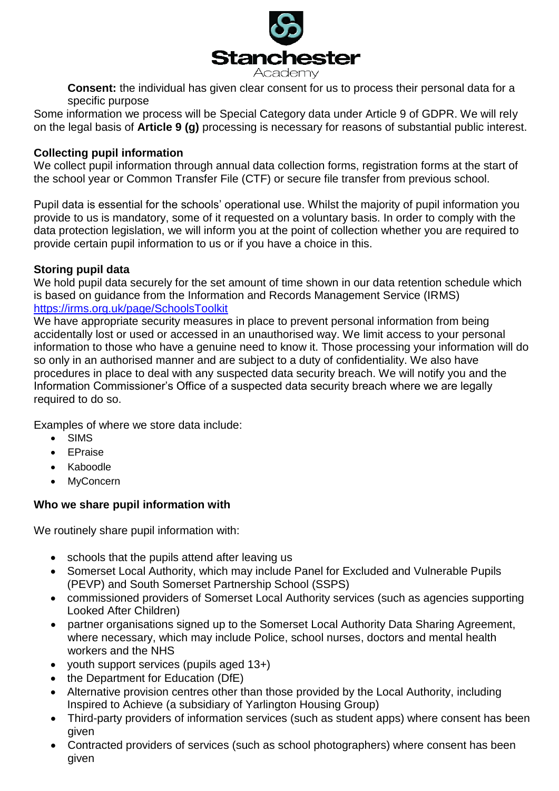

**Consent:** the individual has given clear consent for us to process their personal data for a specific purpose

Some information we process will be Special Category data under Article 9 of GDPR. We will rely on the legal basis of **Article 9 (g)** processing is necessary for reasons of substantial public interest.

#### **Collecting pupil information**

We collect pupil information through annual data collection forms, registration forms at the start of the school year or Common Transfer File (CTF) or secure file transfer from previous school.

Pupil data is essential for the schools' operational use. Whilst the majority of pupil information you provide to us is mandatory, some of it requested on a voluntary basis. In order to comply with the data protection legislation, we will inform you at the point of collection whether you are required to provide certain pupil information to us or if you have a choice in this.

#### **Storing pupil data**

We hold pupil data securely for the set amount of time shown in our data retention schedule which is based on guidance from the Information and Records Management Service (IRMS) <https://irms.org.uk/page/SchoolsToolkit>

We have appropriate security measures in place to prevent personal information from being accidentally lost or used or accessed in an unauthorised way. We limit access to your personal information to those who have a genuine need to know it. Those processing your information will do so only in an authorised manner and are subject to a duty of confidentiality. We also have procedures in place to deal with any suspected data security breach. We will notify you and the Information Commissioner's Office of a suspected data security breach where we are legally required to do so.

Examples of where we store data include:

- SIMS
- EPraise
- Kaboodle
- **MyConcern**

# **Who we share pupil information with**

We routinely share pupil information with:

- schools that the pupils attend after leaving us
- Somerset Local Authority, which may include Panel for Excluded and Vulnerable Pupils (PEVP) and South Somerset Partnership School (SSPS)
- commissioned providers of Somerset Local Authority services (such as agencies supporting Looked After Children)
- partner organisations signed up to the Somerset Local Authority Data Sharing Agreement, where necessary, which may include Police, school nurses, doctors and mental health workers and the NHS
- youth support services (pupils aged 13+)
- the Department for Education (DfE)
- Alternative provision centres other than those provided by the Local Authority, including Inspired to Achieve (a subsidiary of Yarlington Housing Group)
- Third-party providers of information services (such as student apps) where consent has been given
- Contracted providers of services (such as school photographers) where consent has been given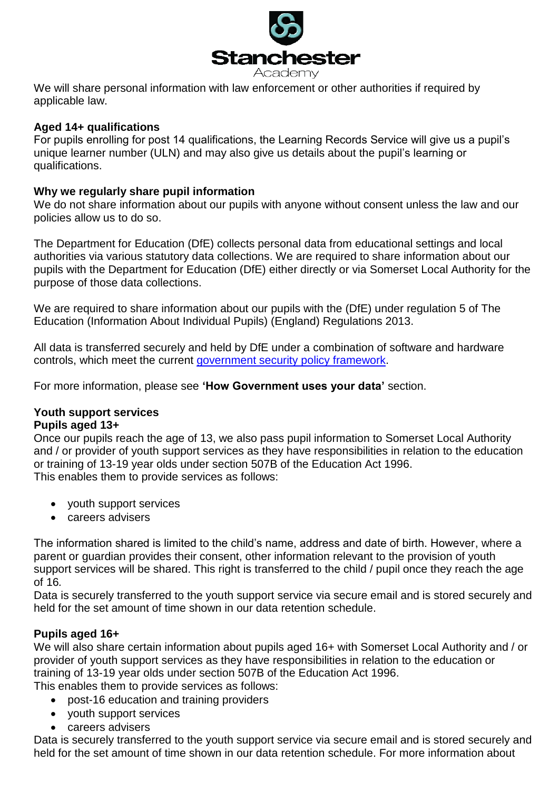

We will share personal information with law enforcement or other authorities if required by applicable law.

#### **Aged 14+ qualifications**

For pupils enrolling for post 14 qualifications, the Learning Records Service will give us a pupil's unique learner number (ULN) and may also give us details about the pupil's learning or qualifications.

#### **Why we regularly share pupil information**

We do not share information about our pupils with anyone without consent unless the law and our policies allow us to do so.

The Department for Education (DfE) collects personal data from educational settings and local authorities via various statutory data collections. We are required to share information about our pupils with the Department for Education (DfE) either directly or via Somerset Local Authority for the purpose of those data collections.

We are required to share information about our pupils with the (DfE) under regulation 5 of The Education (Information About Individual Pupils) (England) Regulations 2013.

All data is transferred securely and held by DfE under a combination of software and hardware controls, which meet the current [government security policy framework.](https://www.gov.uk/government/publications/security-policy-framework)

For more information, please see **'How Government uses your data'** section.

#### **Youth support services Pupils aged 13+**

Once our pupils reach the age of 13, we also pass pupil information to Somerset Local Authority and / or provider of youth support services as they have responsibilities in relation to the education or training of 13-19 year olds under section 507B of the Education Act 1996. This enables them to provide services as follows:

- youth support services
- careers advisers

The information shared is limited to the child's name, address and date of birth. However, where a parent or guardian provides their consent, other information relevant to the provision of youth support services will be shared. This right is transferred to the child / pupil once they reach the age of 16*.*

Data is securely transferred to the youth support service via secure email and is stored securely and held for the set amount of time shown in our data retention schedule.

# **Pupils aged 16+**

We will also share certain information about pupils aged 16+ with Somerset Local Authority and / or provider of youth support services as they have responsibilities in relation to the education or training of 13-19 year olds under section 507B of the Education Act 1996.

This enables them to provide services as follows:

- post-16 education and training providers
- youth support services
- careers advisers

Data is securely transferred to the youth support service via secure email and is stored securely and held for the set amount of time shown in our data retention schedule. For more information about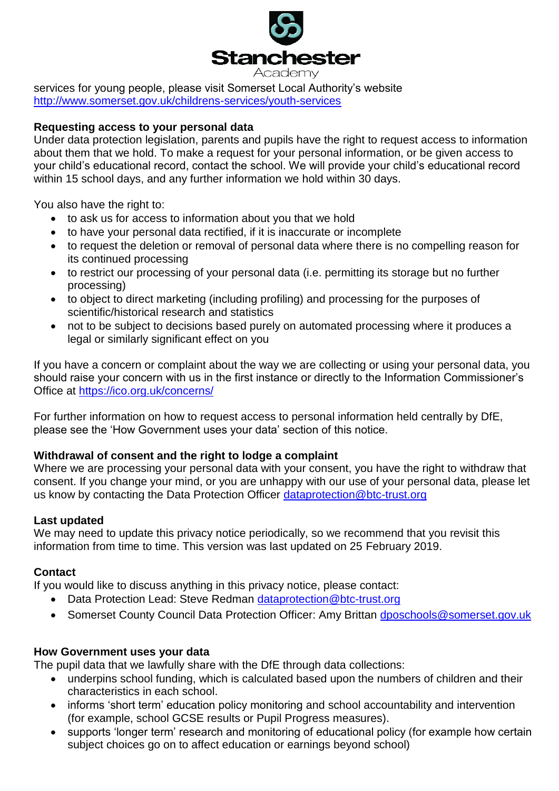

services for young people, please visit Somerset Local Authority's website <http://www.somerset.gov.uk/childrens-services/youth-services>

### **Requesting access to your personal data**

Under data protection legislation, parents and pupils have the right to request access to information about them that we hold. To make a request for your personal information, or be given access to your child's educational record, contact the school. We will provide your child's educational record within 15 school days, and any further information we hold within 30 days.

You also have the right to:

- to ask us for access to information about you that we hold
- to have your personal data rectified, if it is inaccurate or incomplete
- to request the deletion or removal of personal data where there is no compelling reason for its continued processing
- to restrict our processing of your personal data (i.e. permitting its storage but no further processing)
- to object to direct marketing (including profiling) and processing for the purposes of scientific/historical research and statistics
- not to be subject to decisions based purely on automated processing where it produces a legal or similarly significant effect on you

If you have a concern or complaint about the way we are collecting or using your personal data, you should raise your concern with us in the first instance or directly to the Information Commissioner's Office at<https://ico.org.uk/concerns/>

For further information on how to request access to personal information held centrally by DfE, please see the 'How Government uses your data' section of this notice.

# **Withdrawal of consent and the right to lodge a complaint**

Where we are processing your personal data with your consent, you have the right to withdraw that consent. If you change your mind, or you are unhappy with our use of your personal data, please let us know by contacting the Data Protection Officer [dataprotection@btc-trust.org](mailto:dataprotection@btc-trust.org)

# **Last updated**

We may need to update this privacy notice periodically, so we recommend that you revisit this information from time to time. This version was last updated on 25 February 2019.

# **Contact**

If you would like to discuss anything in this privacy notice, please contact:

- Data Protection Lead: Steve Redman dataprotection@btc-trust.org
- Somerset County Council Data Protection Officer: Amy Brittan [dposchools@somerset.gov.uk](mailto:dposchools@somerset.gov.uk)

#### **How Government uses your data**

The pupil data that we lawfully share with the DfE through data collections:

- underpins school funding, which is calculated based upon the numbers of children and their characteristics in each school.
- informs 'short term' education policy monitoring and school accountability and intervention (for example, school GCSE results or Pupil Progress measures).
- supports 'longer term' research and monitoring of educational policy (for example how certain subject choices go on to affect education or earnings beyond school)